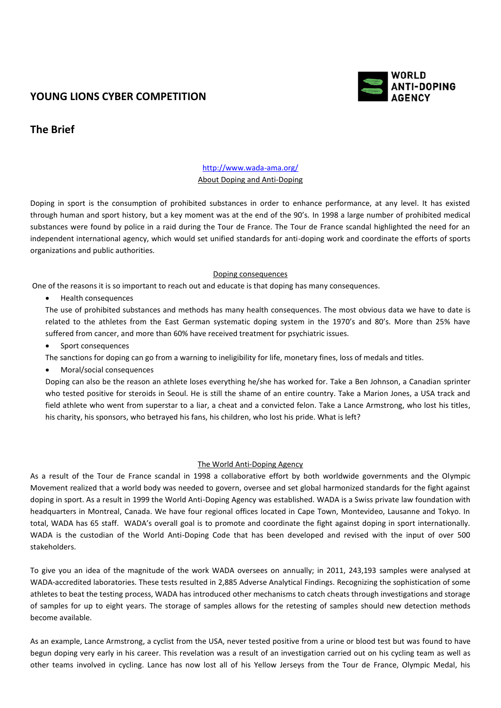# **YOUNG LIONS CYBER COMPETITION**



## **The Brief**

## <http://www.wada-ama.org/> About Doping and Anti-Doping

Doping in sport is the consumption of prohibited substances in order to enhance performance, at any level. It has existed through human and sport history, but a key moment was at the end of the 90's. In 1998 a large number of prohibited medical substances were found by police in a raid during the Tour de France. The Tour de France scandal highlighted the need for an independent international agency, which would set unified standards for anti-doping work and coordinate the efforts of sports organizations and public authorities.

## Doping consequences

One of the reasons it is so important to reach out and educate is that doping has many consequences.

• Health consequences

The use of prohibited substances and methods has many health consequences. The most obvious data we have to date is related to the athletes from the East German systematic doping system in the 1970's and 80's. More than 25% have suffered from cancer, and more than 60% have received treatment for psychiatric issues.

• Sport consequences

The sanctions for doping can go from a warning to ineligibility for life, monetary fines, loss of medals and titles.

Moral/social consequences

Doping can also be the reason an athlete loses everything he/she has worked for. Take a Ben Johnson, a Canadian sprinter who tested positive for steroids in Seoul. He is still the shame of an entire country. Take a Marion Jones, a USA track and field athlete who went from superstar to a liar, a cheat and a convicted felon. Take a Lance Armstrong, who lost his titles, his charity, his sponsors, who betrayed his fans, his children, who lost his pride. What is left?

#### The World Anti-Doping Agency

As a result of the Tour de France scandal in 1998 a collaborative effort by both worldwide governments and the Olympic Movement realized that a world body was needed to govern, oversee and set global harmonized standards for the fight against doping in sport. As a result in 1999 the World Anti-Doping Agency was established. WADA is a Swiss private law foundation with headquarters in Montreal, Canada. We have four regional offices located in Cape Town, Montevideo, Lausanne and Tokyo. In total, WADA has 65 staff. WADA's overall goal is to promote and coordinate the fight against doping in sport internationally. WADA is the custodian of the World Anti-Doping Code that has been developed and revised with the input of over 500 stakeholders.

To give you an idea of the magnitude of the work WADA oversees on annually; in 2011, 243,193 samples were analysed at WADA-accredited laboratories. These tests resulted in 2,885 Adverse Analytical Findings. Recognizing the sophistication of some athletes to beat the testing process, WADA has introduced other mechanisms to catch cheats through investigations and storage of samples for up to eight years. The storage of samples allows for the retesting of samples should new detection methods become available.

As an example, Lance Armstrong, a cyclist from the USA, never tested positive from a urine or blood test but was found to have begun doping very early in his career. This revelation was a result of an investigation carried out on his cycling team as well as other teams involved in cycling. Lance has now lost all of his Yellow Jerseys from the Tour de France, Olympic Medal, his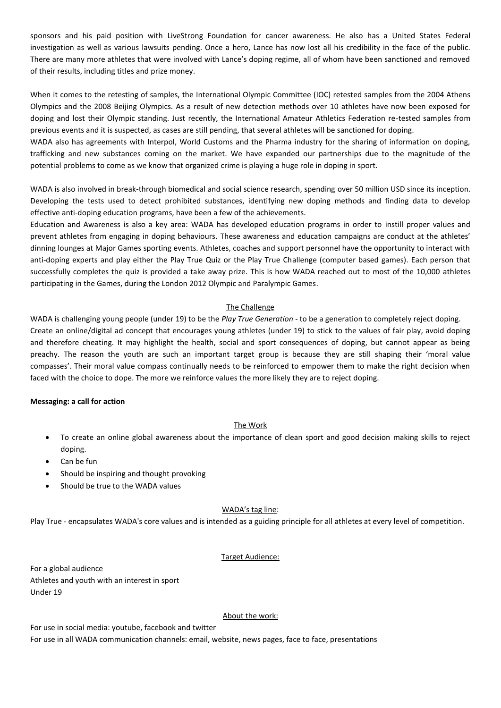sponsors and his paid position with LiveStrong Foundation for cancer awareness. He also has a United States Federal investigation as well as various lawsuits pending. Once a hero, Lance has now lost all his credibility in the face of the public. There are many more athletes that were involved with Lance's doping regime, all of whom have been sanctioned and removed of their results, including titles and prize money.

When it comes to the retesting of samples, the International Olympic Committee (IOC) retested samples from the 2004 Athens Olympics and the 2008 Beijing Olympics. As a result of new detection methods over 10 athletes have now been exposed for doping and lost their Olympic standing. Just recently, the International Amateur Athletics Federation re-tested samples from previous events and it is suspected, as cases are still pending, that several athletes will be sanctioned for doping.

WADA also has agreements with Interpol, World Customs and the Pharma industry for the sharing of information on doping, trafficking and new substances coming on the market. We have expanded our partnerships due to the magnitude of the potential problems to come as we know that organized crime is playing a huge role in doping in sport.

WADA is also involved in break-through biomedical and social science research, spending over 50 million USD since its inception. Developing the tests used to detect prohibited substances, identifying new doping methods and finding data to develop effective anti-doping education programs, have been a few of the achievements.

Education and Awareness is also a key area: WADA has developed education programs in order to instill proper values and prevent athletes from engaging in doping behaviours. These awareness and education campaigns are conduct at the athletes' dinning lounges at Major Games sporting events. Athletes, coaches and support personnel have the opportunity to interact with anti-doping experts and play either the Play True Quiz or the Play True Challenge (computer based games). Each person that successfully completes the quiz is provided a take away prize. This is how WADA reached out to most of the 10,000 athletes participating in the Games, during the London 2012 Olympic and Paralympic Games.

## The Challenge

WADA is challenging young people (under 19) to be the *Play True Generation* - to be a generation to completely reject doping. Create an online/digital ad concept that encourages young athletes (under 19) to stick to the values of fair play, avoid doping and therefore cheating. It may highlight the health, social and sport consequences of doping, but cannot appear as being preachy. The reason the youth are such an important target group is because they are still shaping their 'moral value compasses'. Their moral value compass continually needs to be reinforced to empower them to make the right decision when faced with the choice to dope. The more we reinforce values the more likely they are to reject doping.

#### **Messaging: a call for action**

#### The Work

- To create an online global awareness about the importance of clean sport and good decision making skills to reject doping.
- Can be fun
- Should be inspiring and thought provoking
- Should be true to the WADA values

#### WADA's tag line:

Play True - encapsulates WADA's core values and is intended as a guiding principle for all athletes at every level of competition.

#### Target Audience:

For a global audience Athletes and youth with an interest in sport Under 19

#### About the work:

For use in social media: youtube, facebook and twitter For use in all WADA communication channels: email, website, news pages, face to face, presentations